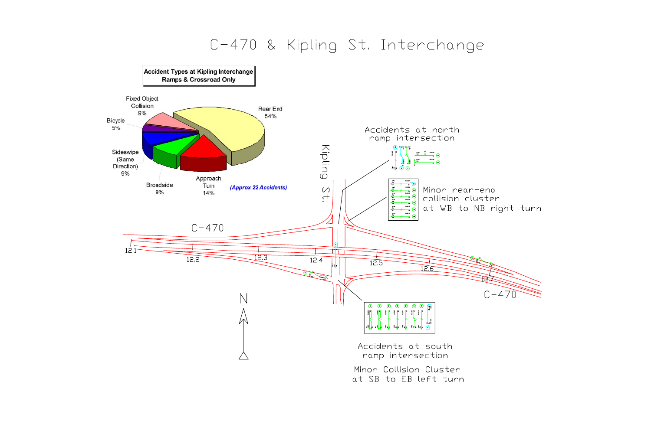## C-470 & Kipling St. Interchange



at SB to EB left turn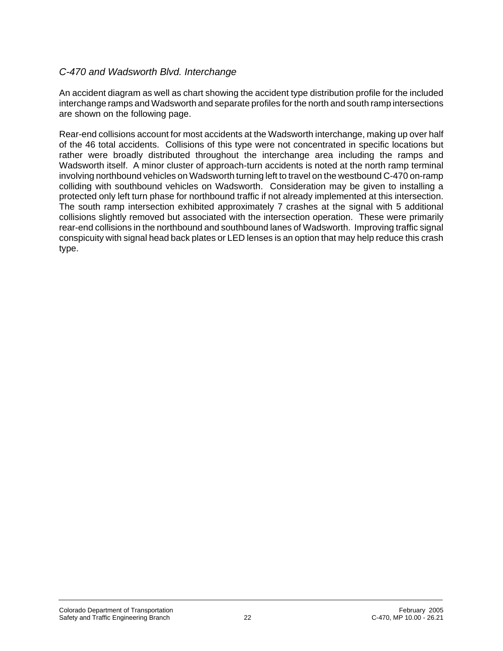## *C-470 and Wadsworth Blvd. Interchange*

An accident diagram as well as chart showing the accident type distribution profile for the included interchange ramps and Wadsworth and separate profiles for the north and south ramp intersections are shown on the following page.

Rear-end collisions account for most accidents at the Wadsworth interchange, making up over half of the 46 total accidents. Collisions of this type were not concentrated in specific locations but rather were broadly distributed throughout the interchange area including the ramps and Wadsworth itself. A minor cluster of approach-turn accidents is noted at the north ramp terminal involving northbound vehicles on Wadsworth turning left to travel on the westbound C-470 on-ramp colliding with southbound vehicles on Wadsworth. Consideration may be given to installing a protected only left turn phase for northbound traffic if not already implemented at this intersection. The south ramp intersection exhibited approximately 7 crashes at the signal with 5 additional collisions slightly removed but associated with the intersection operation. These were primarily rear-end collisions in the northbound and southbound lanes of Wadsworth. Improving traffic signal conspicuity with signal head back plates or LED lenses is an option that may help reduce this crash type.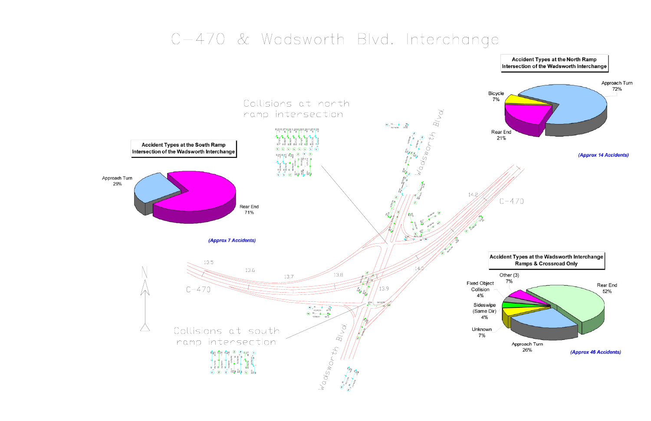## C-470 & Wadsworth Blvd. Interchange